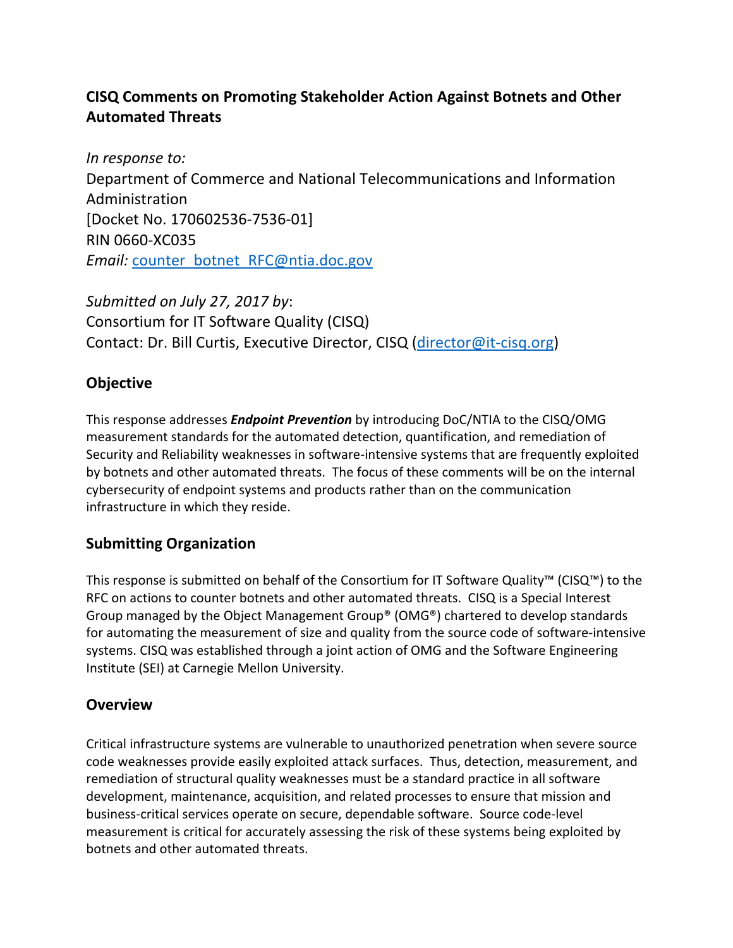# **CISQ Comments on Promoting Stakeholder Action Against Botnets and Other Automated Threats**

*In response to:*  Department of Commerce and National Telecommunications and Information Administration [Docket No. 170602536‐7536‐01] RIN 0660‐XC035 *Email:* counter\_botnet\_RFC@ntia.doc.gov

*Submitted on July 27, 2017 by*: Consortium for IT Software Quality (CISQ) Contact: Dr. Bill Curtis, Executive Director, CISQ (director@it‐cisq.org)

# **Objective**

This response addresses *Endpoint Prevention* by introducing DoC/NTIA to the CISQ/OMG measurement standards for the automated detection, quantification, and remediation of Security and Reliability weaknesses in software‐intensive systems that are frequently exploited by botnets and other automated threats. The focus of these comments will be on the internal cybersecurity of endpoint systems and products rather than on the communication infrastructure in which they reside.

# **Submitting Organization**

This response is submitted on behalf of the Consortium for IT Software Quality™ (CISQ™) to the RFC on actions to counter botnets and other automated threats. CISQ is a Special Interest Group managed by the Object Management Group® (OMG®) chartered to develop standards for automating the measurement of size and quality from the source code of software-intensive systems. CISQ was established through a joint action of OMG and the Software Engineering Institute (SEI) at Carnegie Mellon University.

# **Overview**

Critical infrastructure systems are vulnerable to unauthorized penetration when severe source code weaknesses provide easily exploited attack surfaces. Thus, detection, measurement, and remediation of structural quality weaknesses must be a standard practice in all software development, maintenance, acquisition, and related processes to ensure that mission and business‐critical services operate on secure, dependable software. Source code‐level measurement is critical for accurately assessing the risk of these systems being exploited by botnets and other automated threats.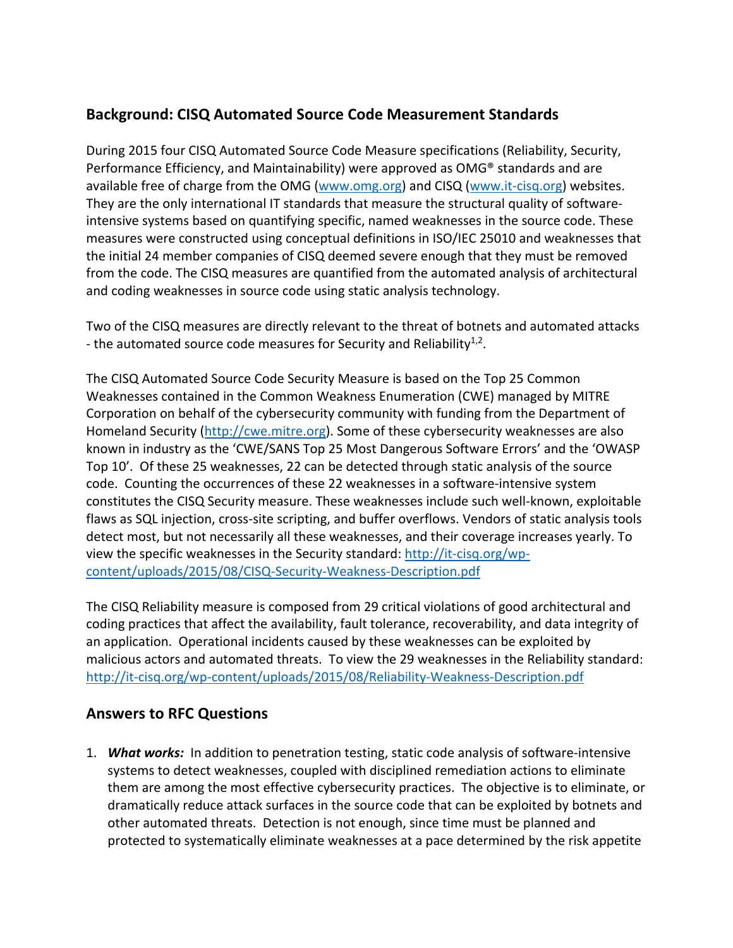# **Background: CISQ Automated Source Code Measurement Standards**

During 2015 four CISQ Automated Source Code Measure specifications (Reliability, Security, Performance Efficiency, and Maintainability) were approved as OMG® standards and are available free of charge from the OMG (www.omg.org) and CISQ (www.it-cisq.org) websites. They are the only international IT standards that measure the structural quality of software‐ intensive systems based on quantifying specific, named weaknesses in the source code. These measures were constructed using conceptual definitions in ISO/IEC 25010 and weaknesses that the initial 24 member companies of CISQ deemed severe enough that they must be removed from the code. The CISQ measures are quantified from the automated analysis of architectural and coding weaknesses in source code using static analysis technology.

Two of the CISQ measures are directly relevant to the threat of botnets and automated attacks - the automated source code measures for Security and Reliability<sup>1,2</sup>.

The CISQ Automated Source Code Security Measure is based on the Top 25 Common Weaknesses contained in the Common Weakness Enumeration (CWE) managed by MITRE Corporation on behalf of the cybersecurity community with funding from the Department of Homeland Security (http://cwe.mitre.org). Some of these cybersecurity weaknesses are also known in industry as the 'CWE/SANS Top 25 Most Dangerous Software Errors' and the 'OWASP Top 10'. Of these 25 weaknesses, 22 can be detected through static analysis of the source code. Counting the occurrences of these 22 weaknesses in a software‐intensive system constitutes the CISQ Security measure. These weaknesses include such well‐known, exploitable flaws as SQL injection, cross-site scripting, and buffer overflows. Vendors of static analysis tools detect most, but not necessarily all these weaknesses, and their coverage increases yearly. To view the specific weaknesses in the Security standard: http://it‐cisq.org/wp‐ content/uploads/2015/08/CISQ‐Security‐Weakness‐Description.pdf

The CISQ Reliability measure is composed from 29 critical violations of good architectural and coding practices that affect the availability, fault tolerance, recoverability, and data integrity of an application. Operational incidents caused by these weaknesses can be exploited by malicious actors and automated threats. To view the 29 weaknesses in the Reliability standard: http://it-cisq.org/wp-content/uploads/2015/08/Reliability-Weakness-Description.pdf

#### **Answers to RFC Questions**

1. *What works:* In addition to penetration testing, static code analysis of software‐intensive systems to detect weaknesses, coupled with disciplined remediation actions to eliminate them are among the most effective cybersecurity practices. The objective is to eliminate, or dramatically reduce attack surfaces in the source code that can be exploited by botnets and other automated threats. Detection is not enough, since time must be planned and protected to systematically eliminate weaknesses at a pace determined by the risk appetite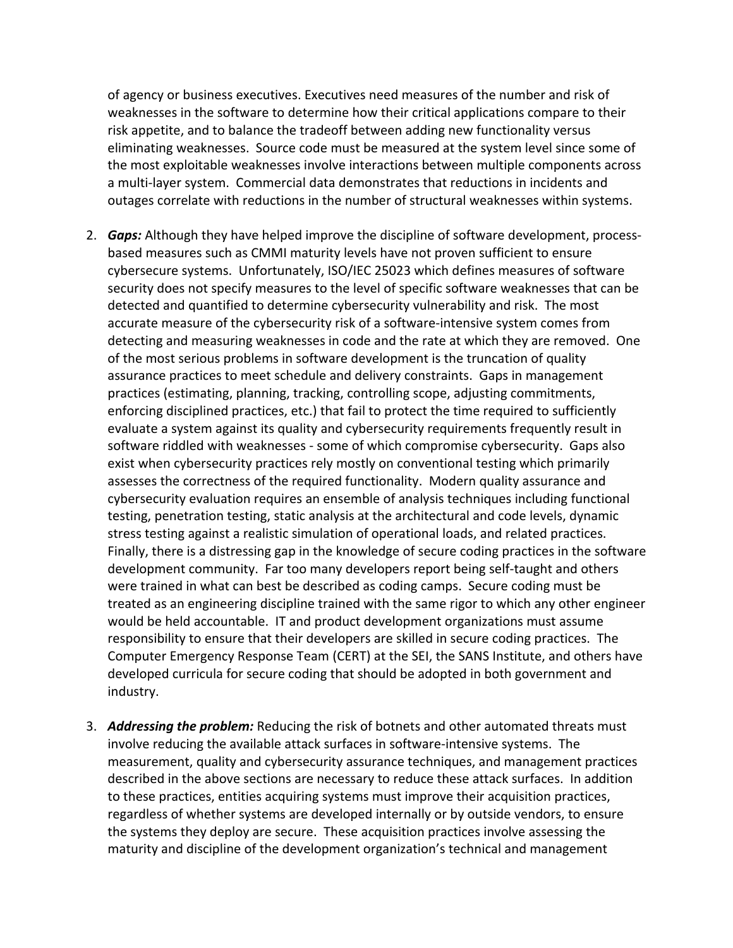of agency or business executives. Executives need measures of the number and risk of weaknesses in the software to determine how their critical applications compare to their risk appetite, and to balance the tradeoff between adding new functionality versus eliminating weaknesses. Source code must be measured at the system level since some of the most exploitable weaknesses involve interactions between multiple components across a multi‐layer system. Commercial data demonstrates that reductions in incidents and outages correlate with reductions in the number of structural weaknesses within systems.

- 2. *Gaps:* Although they have helped improve the discipline of software development, process‐ based measures such as CMMI maturity levels have not proven sufficient to ensure cybersecure systems. Unfortunately, ISO/IEC 25023 which defines measures of software security does not specify measures to the level of specific software weaknesses that can be detected and quantified to determine cybersecurity vulnerability and risk. The most accurate measure of the cybersecurity risk of a software‐intensive system comes from detecting and measuring weaknesses in code and the rate at which they are removed. One of the most serious problems in software development is the truncation of quality assurance practices to meet schedule and delivery constraints. Gaps in management practices (estimating, planning, tracking, controlling scope, adjusting commitments, enforcing disciplined practices, etc.) that fail to protect the time required to sufficiently evaluate a system against its quality and cybersecurity requirements frequently result in software riddled with weaknesses ‐ some of which compromise cybersecurity. Gaps also exist when cybersecurity practices rely mostly on conventional testing which primarily assesses the correctness of the required functionality. Modern quality assurance and cybersecurity evaluation requires an ensemble of analysis techniques including functional testing, penetration testing, static analysis at the architectural and code levels, dynamic stress testing against a realistic simulation of operational loads, and related practices. Finally, there is a distressing gap in the knowledge of secure coding practices in the software development community. Far too many developers report being self‐taught and others were trained in what can best be described as coding camps. Secure coding must be treated as an engineering discipline trained with the same rigor to which any other engineer would be held accountable. IT and product development organizations must assume responsibility to ensure that their developers are skilled in secure coding practices. The Computer Emergency Response Team (CERT) at the SEI, the SANS Institute, and others have developed curricula for secure coding that should be adopted in both government and industry.
- 3. *Addressing the problem:* Reducing the risk of botnets and other automated threats must involve reducing the available attack surfaces in software‐intensive systems. The measurement, quality and cybersecurity assurance techniques, and management practices described in the above sections are necessary to reduce these attack surfaces. In addition to these practices, entities acquiring systems must improve their acquisition practices, regardless of whether systems are developed internally or by outside vendors, to ensure the systems they deploy are secure. These acquisition practices involve assessing the maturity and discipline of the development organization's technical and management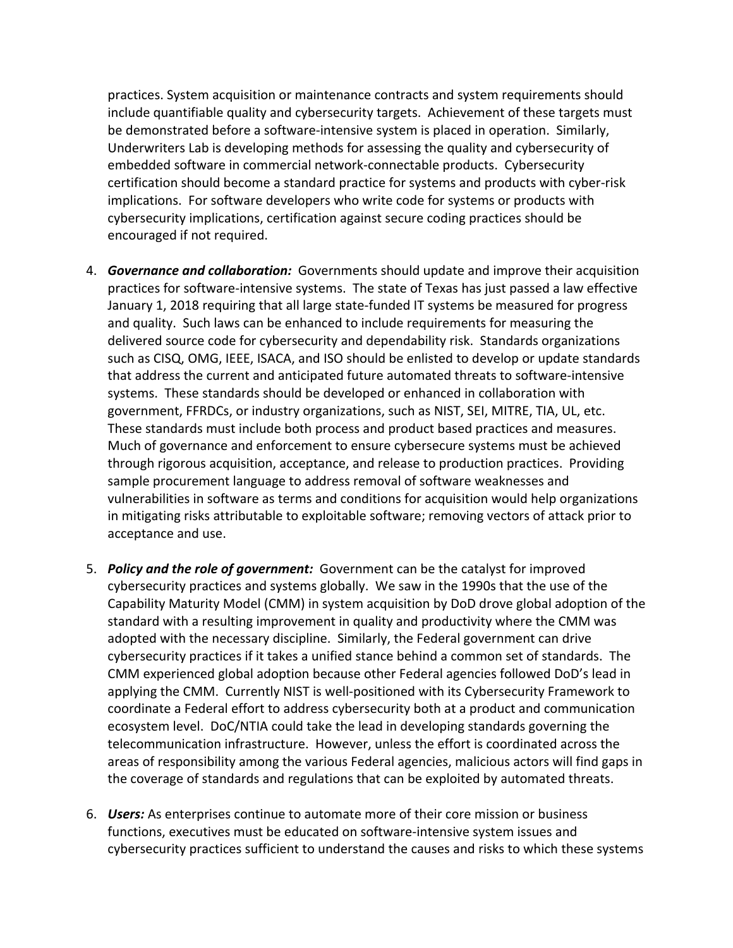practices. System acquisition or maintenance contracts and system requirements should include quantifiable quality and cybersecurity targets. Achievement of these targets must be demonstrated before a software-intensive system is placed in operation. Similarly, Underwriters Lab is developing methods for assessing the quality and cybersecurity of embedded software in commercial network‐connectable products. Cybersecurity certification should become a standard practice for systems and products with cyber‐risk implications. For software developers who write code for systems or products with cybersecurity implications, certification against secure coding practices should be encouraged if not required.

- 4. *Governance and collaboration:* Governments should update and improve their acquisition practices for software‐intensive systems. The state of Texas has just passed a law effective January 1, 2018 requiring that all large state‐funded IT systems be measured for progress and quality. Such laws can be enhanced to include requirements for measuring the delivered source code for cybersecurity and dependability risk. Standards organizations such as CISQ, OMG, IEEE, ISACA, and ISO should be enlisted to develop or update standards that address the current and anticipated future automated threats to software‐intensive systems. These standards should be developed or enhanced in collaboration with government, FFRDCs, or industry organizations, such as NIST, SEI, MITRE, TIA, UL, etc. These standards must include both process and product based practices and measures. Much of governance and enforcement to ensure cybersecure systems must be achieved through rigorous acquisition, acceptance, and release to production practices. Providing sample procurement language to address removal of software weaknesses and vulnerabilities in software as terms and conditions for acquisition would help organizations in mitigating risks attributable to exploitable software; removing vectors of attack prior to acceptance and use.
- 5. *Policy and the role of government:* Government can be the catalyst for improved cybersecurity practices and systems globally. We saw in the 1990s that the use of the Capability Maturity Model (CMM) in system acquisition by DoD drove global adoption of the standard with a resulting improvement in quality and productivity where the CMM was adopted with the necessary discipline. Similarly, the Federal government can drive cybersecurity practices if it takes a unified stance behind a common set of standards. The CMM experienced global adoption because other Federal agencies followed DoD's lead in applying the CMM. Currently NIST is well‐positioned with its Cybersecurity Framework to coordinate a Federal effort to address cybersecurity both at a product and communication ecosystem level. DoC/NTIA could take the lead in developing standards governing the telecommunication infrastructure. However, unless the effort is coordinated across the areas of responsibility among the various Federal agencies, malicious actors will find gaps in the coverage of standards and regulations that can be exploited by automated threats.
- 6. *Users:* As enterprises continue to automate more of their core mission or business functions, executives must be educated on software‐intensive system issues and cybersecurity practices sufficient to understand the causes and risks to which these systems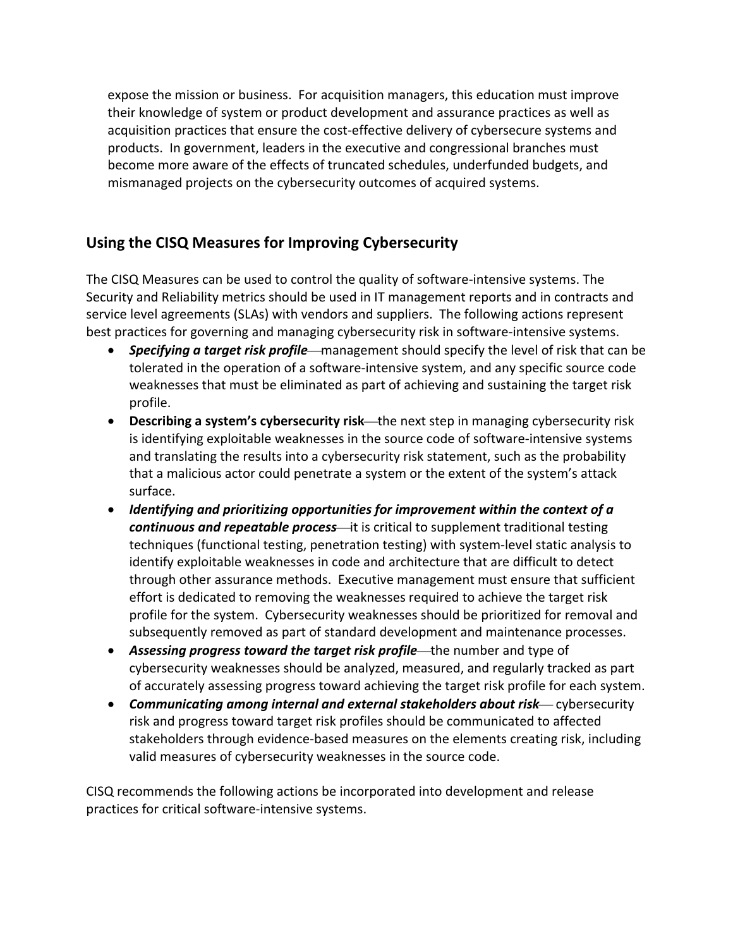expose the mission or business. For acquisition managers, this education must improve their knowledge of system or product development and assurance practices as well as acquisition practices that ensure the cost‐effective delivery of cybersecure systems and products. In government, leaders in the executive and congressional branches must become more aware of the effects of truncated schedules, underfunded budgets, and mismanaged projects on the cybersecurity outcomes of acquired systems.

# **Using the CISQ Measures for Improving Cybersecurity**

The CISQ Measures can be used to control the quality of software‐intensive systems. The Security and Reliability metrics should be used in IT management reports and in contracts and service level agreements (SLAs) with vendors and suppliers. The following actions represent best practices for governing and managing cybersecurity risk in software-intensive systems.

- **Specifying a target risk profile**—management should specify the level of risk that can be tolerated in the operation of a software‐intensive system, and any specific source code weaknesses that must be eliminated as part of achieving and sustaining the target risk profile.
- **Describing a system's cybersecurity risk**—the next step in managing cybersecurity risk is identifying exploitable weaknesses in the source code of software‐intensive systems and translating the results into a cybersecurity risk statement, such as the probability that a malicious actor could penetrate a system or the extent of the system's attack surface.
- *Identifying and prioritizing opportunities for improvement within the context of a continuous and repeatable process*—it is critical to supplement traditional testing techniques (functional testing, penetration testing) with system‐level static analysis to identify exploitable weaknesses in code and architecture that are difficult to detect through other assurance methods. Executive management must ensure that sufficient effort is dedicated to removing the weaknesses required to achieve the target risk profile for the system. Cybersecurity weaknesses should be prioritized for removal and subsequently removed as part of standard development and maintenance processes.
- **Assessing progress toward the target risk profile**—the number and type of cybersecurity weaknesses should be analyzed, measured, and regularly tracked as part of accurately assessing progress toward achieving the target risk profile for each system.
- **Communicating among internal and external stakeholders about risk— cybersecurity** risk and progress toward target risk profiles should be communicated to affected stakeholders through evidence‐based measures on the elements creating risk, including valid measures of cybersecurity weaknesses in the source code.

CISQ recommends the following actions be incorporated into development and release practices for critical software‐intensive systems.